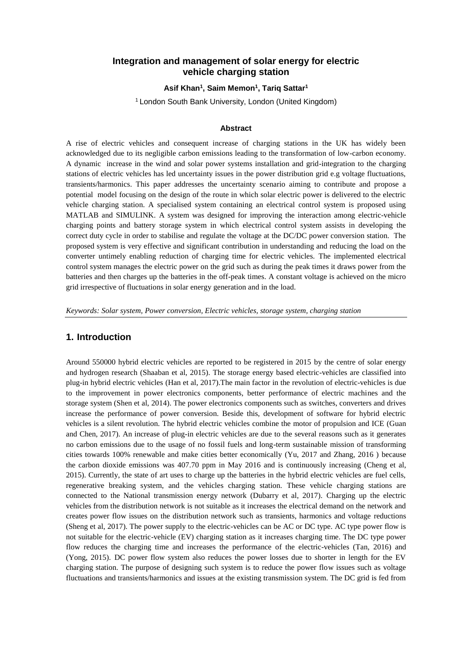### **Integration and management of solar energy for electric vehicle charging station**

#### **Asif Khan<sup>1</sup> , Saim Memon<sup>1</sup> , Tariq Sattar<sup>1</sup>**

<sup>1</sup> London South Bank University, London (United Kingdom)

#### **Abstract**

A rise of electric vehicles and consequent increase of charging stations in the UK has widely been acknowledged due to its negligible carbon emissions leading to the transformation of low-carbon economy. A dynamic increase in the wind and solar power systems installation and grid-integration to the charging stations of electric vehicles has led uncertainty issues in the power distribution grid e.g voltage fluctuations, transients/harmonics. This paper addresses the uncertainty scenario aiming to contribute and propose a potential model focusing on the design of the route in which solar electric power is delivered to the electric vehicle charging station. A specialised system containing an electrical control system is proposed using MATLAB and SIMULINK. A system was designed for improving the interaction among electric-vehicle charging points and battery storage system in which electrical control system assists in developing the correct duty cycle in order to stabilise and regulate the voltage at the DC/DC power conversion station. The proposed system is very effective and significant contribution in understanding and reducing the load on the converter untimely enabling reduction of charging time for electric vehicles. The implemented electrical control system manages the electric power on the grid such as during the peak times it draws power from the batteries and then charges up the batteries in the off-peak times. A constant voltage is achieved on the micro grid irrespective of fluctuations in solar energy generation and in the load.

*Keywords: Solar system, Power conversion, Electric vehicles, storage system, charging station*

#### **1. Introduction**

Around 550000 hybrid electric vehicles are reported to be registered in 2015 by the centre of solar energy and hydrogen research (Shaaban et al, 2015). The storage energy based electric-vehicles are classified into plug-in hybrid electric vehicles (Han et al, 2017).The main factor in the revolution of electric-vehicles is due to the improvement in power electronics components, better performance of electric machines and the storage system (Shen et al, 2014). The power electronics components such as switches, converters and drives increase the performance of power conversion. Beside this, development of software for hybrid electric vehicles is a silent revolution. The hybrid electric vehicles combine the motor of propulsion and ICE (Guan and Chen, 2017). An increase of plug-in electric vehicles are due to the several reasons such as it generates no carbon emissions due to the usage of no fossil fuels and long-term sustainable mission of transforming cities towards 100% renewable and make cities better economically (Yu, 2017 and Zhang, 2016 ) because the carbon dioxide emissions was 407.70 ppm in May 2016 and is continuously increasing (Cheng et al, 2015). Currently, the state of art uses to charge up the batteries in the hybrid electric vehicles are fuel cells, regenerative breaking system, and the vehicles charging station. These vehicle charging stations are connected to the National transmission energy network (Dubarry et al, 2017). Charging up the electric vehicles from the distribution network is not suitable as it increases the electrical demand on the network and creates power flow issues on the distribution network such as transients, harmonics and voltage reductions (Sheng et al, 2017). The power supply to the electric-vehicles can be AC or DC type. AC type power flow is not suitable for the electric-vehicle (EV) charging station as it increases charging time. The DC type power flow reduces the charging time and increases the performance of the electric-vehicles (Tan, 2016) and (Yong, 2015). DC power flow system also reduces the power losses due to shorter in length for the EV charging station. The purpose of designing such system is to reduce the power flow issues such as voltage fluctuations and transients/harmonics and issues at the existing transmission system. The DC grid is fed from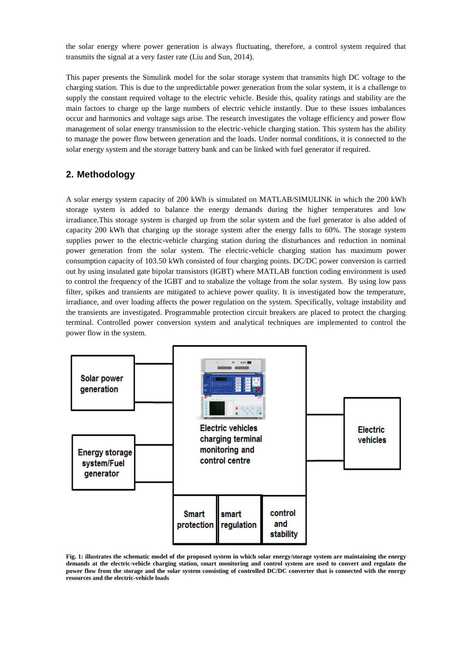the solar energy where power generation is always fluctuating, therefore, a control system required that transmits the signal at a very faster rate (Liu and Sun, 2014).

This paper presents the Simulink model for the solar storage system that transmits high DC voltage to the charging station. This is due to the unpredictable power generation from the solar system, it is a challenge to supply the constant required voltage to the electric vehicle. Beside this, quality ratings and stability are the main factors to charge up the large numbers of electric vehicle instantly. Due to these issues imbalances occur and harmonics and voltage sags arise. The research investigates the voltage efficiency and power flow management of solar energy transmission to the electric-vehicle charging station. This system has the ability to manage the power flow between generation and the loads. Under normal conditions, it is connected to the solar energy system and the storage battery bank and can be linked with fuel generator if required.

# **2. Methodology**

A solar energy system capacity of 200 kWh is simulated on MATLAB/SIMULINK in which the 200 kWh storage system is added to balance the energy demands during the higher temperatures and low irradiance.This storage system is charged up from the solar system and the fuel generator is also added of capacity 200 kWh that charging up the storage system after the energy falls to 60%. The storage system supplies power to the electric-vehicle charging station during the disturbances and reduction in nominal power generation from the solar system. The electric-vehicle charging station has maximum power consumption capacity of 103.50 kWh consisted of four charging points. DC/DC power conversion is carried out by using insulated gate bipolar transistors (IGBT) where MATLAB function coding environment is used to control the frequency of the IGBT and to stabalize the voltage from the solar system. By using low pass filter, spikes and transients are mitigated to achieve power quality. It is investigated how the temperature, irradiance, and over loading affects the power regulation on the system. Specifically, voltage instability and the transients are investigated. Programmable protection circuit breakers are placed to protect the charging terminal. Controlled power conversion system and analytical techniques are implemented to control the power flow in the system.



**Fig. 1: illustrates the schematic model of the proposed system in which solar energy/storage system are maintaining the energy demands at the electric-vehicle charging station, smart monitoring and control system are used to convert and regulate the power flow from the storage and the solar system consisting of controlled DC/DC converter that is connected with the energy resources and the electric-vehicle loads**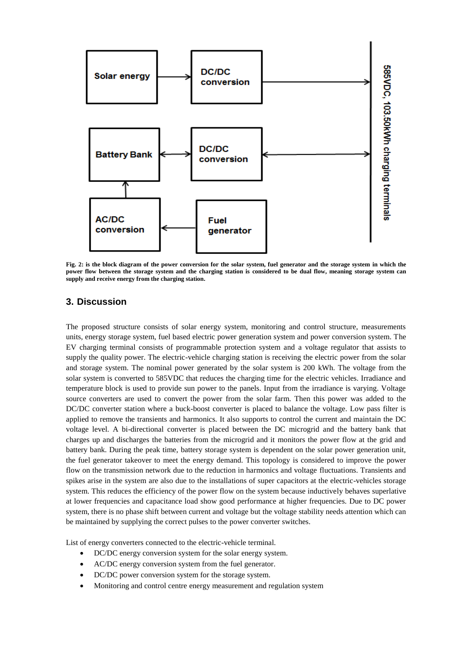

**Fig. 2: is the block diagram of the power conversion for the solar system, fuel generator and the storage system in which the power flow between the storage system and the charging station is considered to be dual flow, meaning storage system can supply and receive energy from the charging station.**

# **3. Discussion**

The proposed structure consists of solar energy system, monitoring and control structure, measurements units, energy storage system, fuel based electric power generation system and power conversion system. The EV charging terminal consists of programmable protection system and a voltage regulator that assists to supply the quality power. The electric-vehicle charging station is receiving the electric power from the solar and storage system. The nominal power generated by the solar system is 200 kWh. The voltage from the solar system is converted to 585VDC that reduces the charging time for the electric vehicles. Irradiance and temperature block is used to provide sun power to the panels. Input from the irradiance is varying. Voltage source converters are used to convert the power from the solar farm. Then this power was added to the DC/DC converter station where a buck-boost converter is placed to balance the voltage. Low pass filter is applied to remove the transients and harmonics. It also supports to control the current and maintain the DC voltage level. A bi-directional converter is placed between the DC microgrid and the battery bank that charges up and discharges the batteries from the microgrid and it monitors the power flow at the grid and battery bank. During the peak time, battery storage system is dependent on the solar power generation unit, the fuel generator takeover to meet the energy demand. This topology is considered to improve the power flow on the transmission network due to the reduction in harmonics and voltage fluctuations. Transients and spikes arise in the system are also due to the installations of super capacitors at the electric-vehicles storage system. This reduces the efficiency of the power flow on the system because inductively behaves superlative at lower frequencies and capacitance load show good performance at higher frequencies. Due to DC power system, there is no phase shift between current and voltage but the voltage stability needs attention which can be maintained by supplying the correct pulses to the power converter switches.

List of energy converters connected to the electric-vehicle terminal.

- DC/DC energy conversion system for the solar energy system.
- AC/DC energy conversion system from the fuel generator.
- DC/DC power conversion system for the storage system.
- Monitoring and control centre energy measurement and regulation system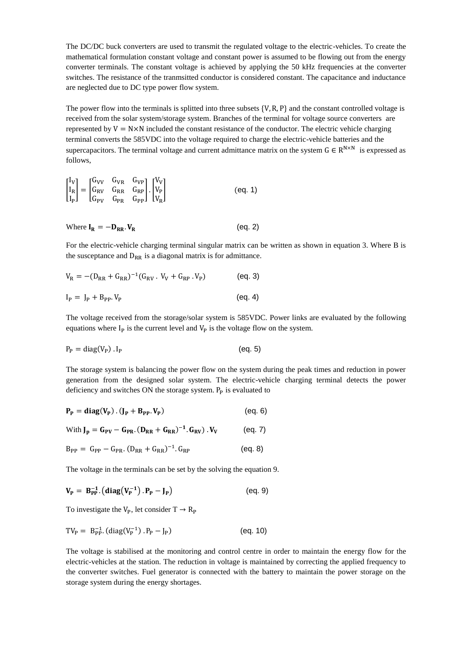The DC/DC buck converters are used to transmit the regulated voltage to the electric-vehicles. To create the mathematical formulation constant voltage and constant power is assumed to be flowing out from the energy converter terminals. The constant voltage is achieved by applying the 50 kHz frequencies at the converter switches. The resistance of the tranmsitted conductor is considered constant. The capacitance and inductance are neglected due to DC type power flow system.

The power flow into the terminals is splitted into three subsets  $\{V, R, P\}$  and the constant controlled voltage is received from the solar system/storage system. Branches of the terminal for voltage source converters are represented by  $V = N \times N$  included the constant resistance of the conductor. The electric vehicle charging terminal converts the 585VDC into the voltage required to charge the electric-vehicle batteries and the supercapacitors. The terminal voltage and current admittance matrix on the system  $G \in R^{N \times N}$  is expressed as follows,

$$
\begin{bmatrix} I_V \\ I_R \\ I_P \end{bmatrix} = \begin{bmatrix} G_{VV} & G_{VR} & G_{VP} \\ G_{RV} & G_{RR} & G_{RP} \end{bmatrix} \cdot \begin{bmatrix} V_V \\ V_P \\ V_R \end{bmatrix}
$$
 (eq. 1)

Where 
$$
I_R = -D_{RR} \cdot V_R
$$
 (eq. 2)

For the electric-vehicle charging terminal singular matrix can be written as shown in equation 3. Where B is the susceptance and  $D_{RR}$  is a diagonal matrix is for admittance.

$$
V_{R} = -(D_{RR} + G_{RR})^{-1}(G_{RV}. V_{V} + G_{RP}.V_{P})
$$
 (eq. 3)  
\n
$$
I_{P} = J_{P} + B_{PP}.V_{P}
$$
 (eq. 4)

The voltage received from the storage/solar system is 585VDC. Power links are evaluated by the following equations where  $I_p$  is the current level and  $V_p$  is the voltage flow on the system.

$$
P_P = \text{diag}(V_P) \cdot I_P \tag{eq. 5}
$$

The storage system is balancing the power flow on the system during the peak times and reduction in power generation from the designed solar system. The electric-vehicle charging terminal detects the power deficiency and switches  $ON$  the storage system.  $P<sub>p</sub>$  is evaluated to

$$
P_{P} = diag(V_{P}) \cdot (J_{P} + B_{PP} \cdot V_{P})
$$
 (eq. 6)

With 
$$
J_p = G_{PV} - G_{PR}
$$
.  $(D_{RR} + G_{RR})^{-1}$ .  $G_{RV}$ .  $V_V$  (eq. 7)

$$
B_{PP} = G_{PP} - G_{PR}. (D_{RR} + G_{RR})^{-1}. G_{RP}
$$
 (eq. 8)

The voltage in the terminals can be set by the solving the equation 9.

$$
\mathbf{V}_{\mathbf{P}} = \mathbf{B}_{\mathbf{P}\mathbf{P}}^{-1} \left( \mathbf{diag} \left( \mathbf{V}_{\mathbf{P}}^{-1} \right) . \mathbf{P}_{\mathbf{P}} - \mathbf{J}_{\mathbf{P}} \right) \tag{eq. 9}
$$

To investigate the  $V_P$ , let consider  $T \rightarrow R_P$ 

$$
TV_{P} = B_{PP}^{-1} (diag(V_{P}^{-1}) . P_{P} - J_{P})
$$
 (eq. 10)

The voltage is stabilised at the monitoring and control centre in order to maintain the energy flow for the electric-vehicles at the station. The reduction in voltage is maintained by correcting the applied frequency to the converter switches. Fuel generator is connected with the battery to maintain the power storage on the storage system during the energy shortages.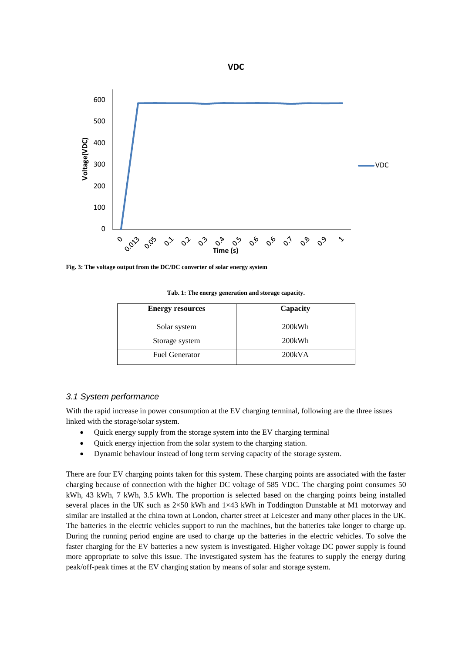

**Fig. 3: The voltage output from the DC/DC converter of solar energy system**

**Tab. 1: The energy generation and storage capacity.** 

| <b>Energy resources</b> | Capacity |
|-------------------------|----------|
| Solar system            | 200kWh   |
| Storage system          | 200kWh   |
| <b>Fuel Generator</b>   | 200kVA   |

#### *3.1 System performance*

With the rapid increase in power consumption at the EV charging terminal, following are the three issues linked with the storage/solar system.

- Quick energy supply from the storage system into the EV charging terminal
- Quick energy injection from the solar system to the charging station.
- Dynamic behaviour instead of long term serving capacity of the storage system.

There are four EV charging points taken for this system. These charging points are associated with the faster charging because of connection with the higher DC voltage of 585 VDC. The charging point consumes 50 kWh, 43 kWh, 7 kWh, 3.5 kWh. The proportion is selected based on the charging points being installed several places in the UK such as  $2\times50$  kWh and  $1\times43$  kWh in Toddington Dunstable at M1 motorway and similar are installed at the china town at London, charter street at Leicester and many other places in the UK. The batteries in the electric vehicles support to run the machines, but the batteries take longer to charge up. During the running period engine are used to charge up the batteries in the electric vehicles. To solve the faster charging for the EV batteries a new system is investigated. Higher voltage DC power supply is found more appropriate to solve this issue. The investigated system has the features to supply the energy during peak/off-peak times at the EV charging station by means of solar and storage system.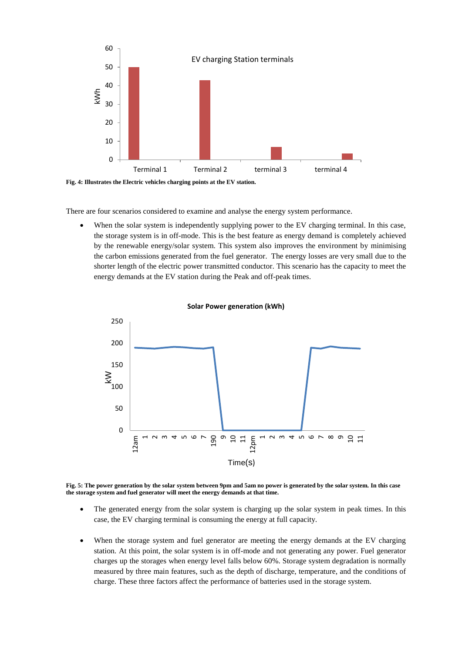

**Fig. 4: Illustrates the Electric vehicles charging points at the EV station.** 

There are four scenarios considered to examine and analyse the energy system performance.

When the solar system is independently supplying power to the EV charging terminal. In this case, the storage system is in off-mode. This is the best feature as energy demand is completely achieved by the renewable energy/solar system. This system also improves the environment by minimising the carbon emissions generated from the fuel generator. The energy losses are very small due to the shorter length of the electric power transmitted conductor. This scenario has the capacity to meet the energy demands at the EV station during the Peak and off-peak times.



**Solar Power generation (kWh)**

**Fig. 5: The power generation by the solar system between 9pm and 5am no power is generated by the solar system. In this case the storage system and fuel generator will meet the energy demands at that time.** 

- The generated energy from the solar system is charging up the solar system in peak times. In this case, the EV charging terminal is consuming the energy at full capacity.
- When the storage system and fuel generator are meeting the energy demands at the EV charging station. At this point, the solar system is in off-mode and not generating any power. Fuel generator charges up the storages when energy level falls below 60%. Storage system degradation is normally measured by three main features, such as the depth of discharge, temperature, and the conditions of charge. These three factors affect the performance of batteries used in the storage system.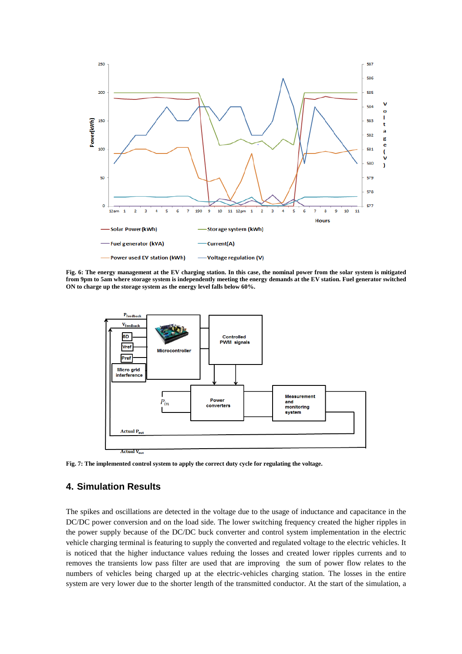

**Fig. 6: The energy management at the EV charging station. In this case, the nominal power from the solar system is mitigated from 9pm to 5am where storage system is independently meeting the energy demands at the EV station. Fuel generator switched ON to charge up the storage system as the energy level falls below 60%.**



**Fig. 7: The implemented control system to apply the correct duty cycle for regulating the voltage.**

#### **4. Simulation Results**

The spikes and oscillations are detected in the voltage due to the usage of inductance and capacitance in the DC/DC power conversion and on the load side. The lower switching frequency created the higher ripples in the power supply because of the DC/DC buck converter and control system implementation in the electric vehicle charging terminal is featuring to supply the converted and regulated voltage to the electric vehicles. It is noticed that the higher inductance values reduing the losses and created lower ripples currents and to removes the transients low pass filter are used that are improving the sum of power flow relates to the numbers of vehicles being charged up at the electric-vehicles charging station. The losses in the entire system are very lower due to the shorter length of the transmitted conductor. At the start of the simulation, a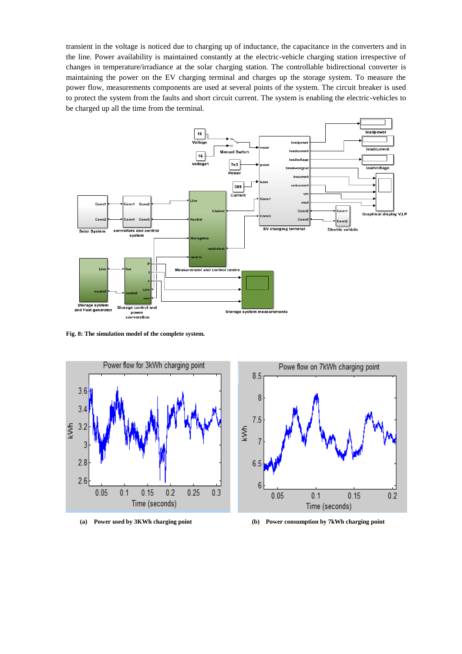transient in the voltage is noticed due to charging up of inductance, the capacitance in the converters and in the line. Power availability is maintained constantly at the electric-vehicle charging station irrespective of changes in temperature/irradiance at the solar charging station. The controllable bidirectional converter is maintaining the power on the EV charging terminal and charges up the storage system. To measure the power flow, measurements components are used at several points of the system. The circuit breaker is used to protect the system from the faults and short circuit current. The system is enabling the electric-vehicles to be charged up all the time from the terminal.



**Fig. 8: The simulation model of the complete system.**





**(a) Power used by 3KWh charging point (b) Power consumption by 7kWh charging point**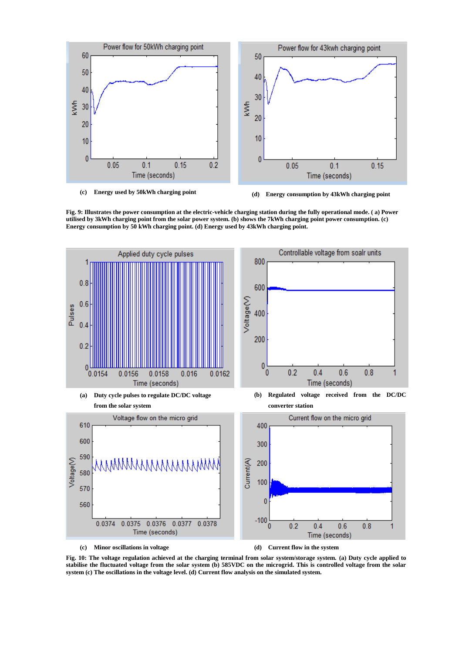

**(c) Energy used by 50kWh charging point (d) Energy consumption by 43kWh charging point**

**Fig. 9: Illustrates the power consumption at the electric-vehicle charging station during the fully operational mode. ( a) Power utilised by 3kWh charging point from the solar power system. (b) shows the 7kWh charging point power consumption. (c) Energy consumption by 50 kWh charging point. (d) Energy used by 43kWh charging point.** 



**(c) Minor oscillations in voltage (d) Current flow in the system** 

**Fig. 10: The voltage regulation achieved at the charging terminal from solar system/storage system. (a) Duty cycle applied to stabilise the fluctuated voltage from the solar system (b) 585VDC on the microgrid. This is controlled voltage from the solar system (c) The oscillations in the voltage level. (d) Current flow analysis on the simulated system.**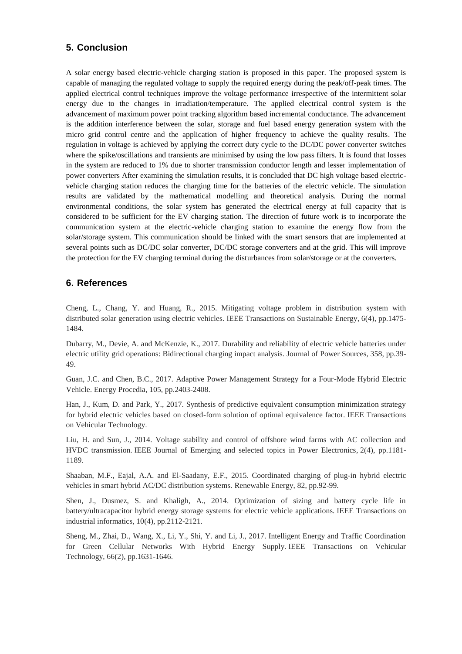# **5. Conclusion**

A solar energy based electric-vehicle charging station is proposed in this paper. The proposed system is capable of managing the regulated voltage to supply the required energy during the peak/off-peak times. The applied electrical control techniques improve the voltage performance irrespective of the intermittent solar energy due to the changes in irradiation/temperature. The applied electrical control system is the advancement of maximum power point tracking algorithm based incremental conductance. The advancement is the addition interference between the solar, storage and fuel based energy generation system with the micro grid control centre and the application of higher frequency to achieve the quality results. The regulation in voltage is achieved by applying the correct duty cycle to the DC/DC power converter switches where the spike/oscillations and transients are minimised by using the low pass filters. It is found that losses in the system are reduced to 1% due to shorter transmission conductor length and lesser implementation of power converters After examining the simulation results, it is concluded that DC high voltage based electricvehicle charging station reduces the charging time for the batteries of the electric vehicle. The simulation results are validated by the mathematical modelling and theoretical analysis. During the normal environmental conditions, the solar system has generated the electrical energy at full capacity that is considered to be sufficient for the EV charging station. The direction of future work is to incorporate the communication system at the electric-vehicle charging station to examine the energy flow from the solar/storage system. This communication should be linked with the smart sensors that are implemented at several points such as DC/DC solar converter, DC/DC storage converters and at the grid. This will improve the protection for the EV charging terminal during the disturbances from solar/storage or at the converters.

### **6. References**

Cheng, L., Chang, Y. and Huang, R., 2015. Mitigating voltage problem in distribution system with distributed solar generation using electric vehicles. IEEE Transactions on Sustainable Energy, 6(4), pp.1475-1484.

Dubarry, M., Devie, A. and McKenzie, K., 2017. Durability and reliability of electric vehicle batteries under electric utility grid operations: Bidirectional charging impact analysis. Journal of Power Sources, 358, pp.39- 49.

Guan, J.C. and Chen, B.C., 2017. Adaptive Power Management Strategy for a Four-Mode Hybrid Electric Vehicle. Energy Procedia, 105, pp.2403-2408.

Han, J., Kum, D. and Park, Y., 2017. Synthesis of predictive equivalent consumption minimization strategy for hybrid electric vehicles based on closed-form solution of optimal equivalence factor. IEEE Transactions on Vehicular Technology.

Liu, H. and Sun, J., 2014. Voltage stability and control of offshore wind farms with AC collection and HVDC transmission. IEEE Journal of Emerging and selected topics in Power Electronics, 2(4), pp.1181- 1189.

Shaaban, M.F., Eajal, A.A. and El-Saadany, E.F., 2015. Coordinated charging of plug-in hybrid electric vehicles in smart hybrid AC/DC distribution systems. Renewable Energy, 82, pp.92-99.

Shen, J., Dusmez, S. and Khaligh, A., 2014. Optimization of sizing and battery cycle life in battery/ultracapacitor hybrid energy storage systems for electric vehicle applications. IEEE Transactions on industrial informatics, 10(4), pp.2112-2121.

Sheng, M., Zhai, D., Wang, X., Li, Y., Shi, Y. and Li, J., 2017. Intelligent Energy and Traffic Coordination for Green Cellular Networks With Hybrid Energy Supply. IEEE Transactions on Vehicular Technology, 66(2), pp.1631-1646.